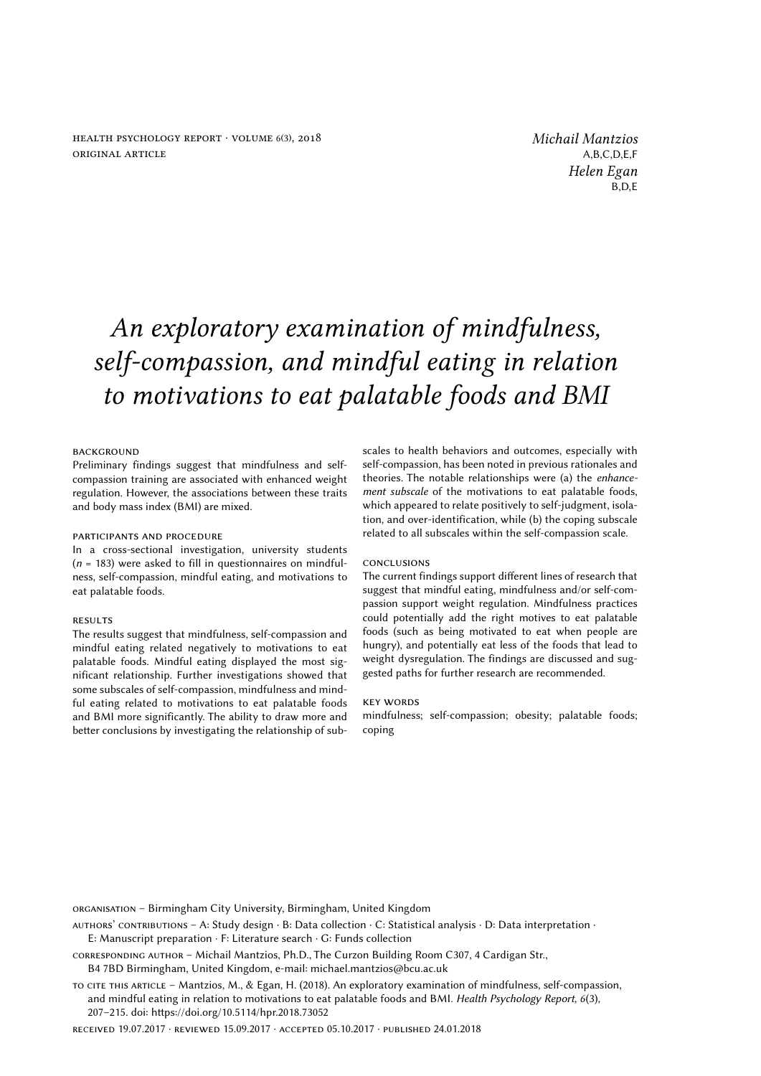*HEALTH PSYCHOLOGY REPORT · VOLUME 6(3), 2018 original article*

*Michail Mantzios* A,B,C,D,E,F *Helen Egan*   $B$ ,D,E

# *An exploratory examination of mindfulness, self-compassion, and mindful eating in relation to motivations to eat palatable foods and BMI*

#### *background*

Preliminary findings suggest that mindfulness and selfcompassion training are associated with enhanced weight regulation. However, the associations between these traits and body mass index (BMI) are mixed.

#### *participants and procedure*

In a cross-sectional investigation, university students (*n* = 183) were asked to fill in questionnaires on mindfulness, self-compassion, mindful eating, and motivations to eat palatable foods.

#### *results*

The results suggest that mindfulness, self-compassion and mindful eating related negatively to motivations to eat palatable foods. Mindful eating displayed the most significant relationship. Further investigations showed that some subscales of self-compassion, mindfulness and mindful eating related to motivations to eat palatable foods and BMI more significantly. The ability to draw more and better conclusions by investigating the relationship of subscales to health behaviors and outcomes, especially with self-compassion, has been noted in previous rationales and theories. The notable relationships were (a) the *enhancement subscale* of the motivations to eat palatable foods, which appeared to relate positively to self-judgment, isolation, and over-identification, while (b) the coping subscale related to all subscales within the self-compassion scale.

#### *conclusions*

The current findings support different lines of research that suggest that mindful eating, mindfulness and/or self-compassion support weight regulation. Mindfulness practices could potentially add the right motives to eat palatable foods (such as being motivated to eat when people are hungry), and potentially eat less of the foods that lead to weight dysregulation. The findings are discussed and suggested paths for further research are recommended.

#### *key words*

mindfulness; self-compassion; obesity; palatable foods; coping

*organisation* – Birmingham City University, Birmingham, United Kingdom

- *authors' contributions*  A: Study design · B: Data collection · C: Statistical analysis · D: Data interpretation · E: Manuscript preparation · F: Literature search · G: Funds collection
- *corresponding author*  Michail Mantzios, Ph.D., The Curzon Building Room C307, 4 Cardigan Str.,

B4 7BD Birmingham, United Kingdom, e-mail: michael.mantzios@bcu.ac.uk

*to cite this article* – Mantzios, M., & Egan, H. (2018). An exploratory examination of mindfulness, self-compassion, and mindful eating in relation to motivations to eat palatable foods and BMI. *Health Psychology Report, 6*(3)*,*  207–215*.* doi: https://doi.org/10.5114/hpr.2018.73052

*received* 19.07.2017 · *reviewed* 15.09.2017 · *accepted* 05.10.2017 · *published* 24.01.2018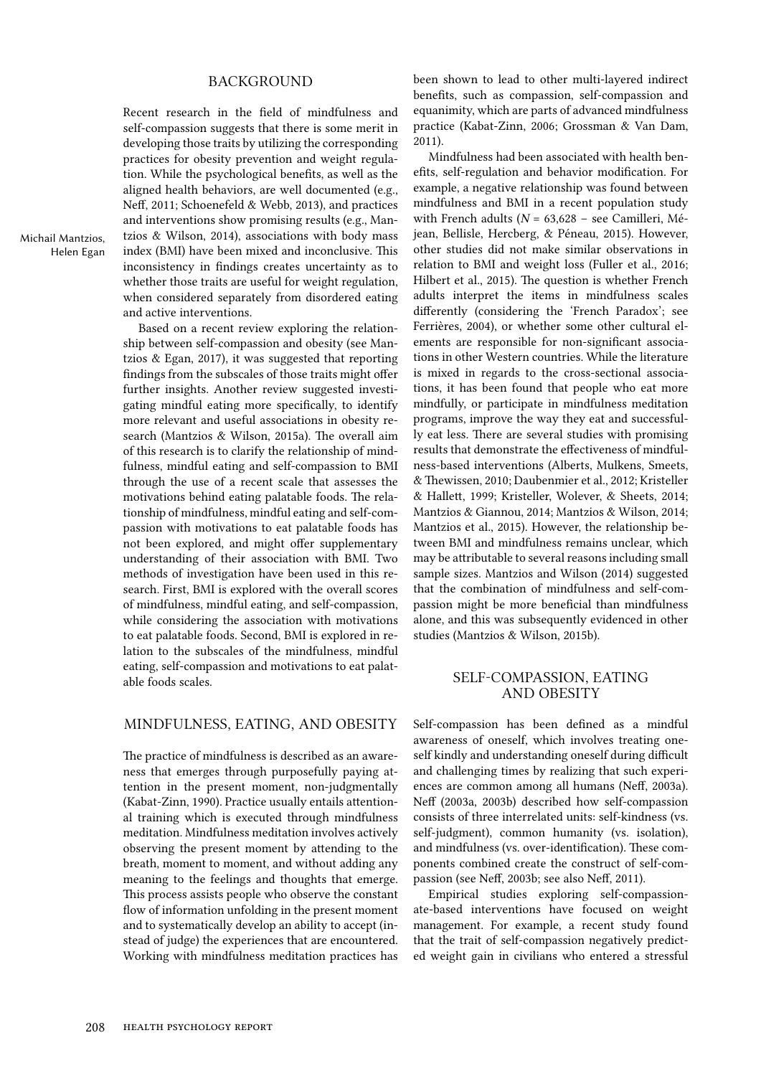## *Background*

Recent research in the field of mindfulness and self-compassion suggests that there is some merit in developing those traits by utilizing the corresponding practices for obesity prevention and weight regulation. While the psychological benefits, as well as the aligned health behaviors, are well documented (e.g., Neff, 2011; Schoenefeld & Webb, 2013), and practices and interventions show promising results (e.g., Mantzios & Wilson, 2014), associations with body mass index (BMI) have been mixed and inconclusive. This inconsistency in findings creates uncertainty as to whether those traits are useful for weight regulation, when considered separately from disordered eating and active interventions.

Based on a recent review exploring the relationship between self-compassion and obesity (see Mantzios & Egan, 2017), it was suggested that reporting findings from the subscales of those traits might offer further insights. Another review suggested investigating mindful eating more specifically, to identify more relevant and useful associations in obesity research (Mantzios & Wilson, 2015a). The overall aim of this research is to clarify the relationship of mindfulness, mindful eating and self-compassion to BMI through the use of a recent scale that assesses the motivations behind eating palatable foods. The relationship of mindfulness, mindful eating and self-compassion with motivations to eat palatable foods has not been explored, and might offer supplementary understanding of their association with BMI. Two methods of investigation have been used in this research. First, BMI is explored with the overall scores of mindfulness, mindful eating, and self-compassion, while considering the association with motivations to eat palatable foods. Second, BMI is explored in relation to the subscales of the mindfulness, mindful eating, self-compassion and motivations to eat palatable foods scales.

## *Mindfulness, eating, and obesity*

The practice of mindfulness is described as an awareness that emerges through purposefully paying attention in the present moment, non-judgmentally (Kabat-Zinn, 1990). Practice usually entails attentional training which is executed through mindfulness meditation. Mindfulness meditation involves actively observing the present moment by attending to the breath, moment to moment, and without adding any meaning to the feelings and thoughts that emerge. This process assists people who observe the constant flow of information unfolding in the present moment and to systematically develop an ability to accept (instead of judge) the experiences that are encountered. Working with mindfulness meditation practices has been shown to lead to other multi-layered indirect benefits, such as compassion, self-compassion and equanimity, which are parts of advanced mindfulness practice (Kabat-Zinn, 2006; Grossman & Van Dam, 2011).

Mindfulness had been associated with health benefits, self-regulation and behavior modification. For example, a negative relationship was found between mindfulness and BMI in a recent population study with French adults (*N* = 63,628 – see Camilleri, Méjean, Bellisle, Hercberg, & Péneau, 2015). However, other studies did not make similar observations in relation to BMI and weight loss (Fuller et al., 2016; Hilbert et al., 2015). The question is whether French adults interpret the items in mindfulness scales differently (considering the 'French Paradox'; see Ferrières, 2004), or whether some other cultural elements are responsible for non-significant associations in other Western countries. While the literature is mixed in regards to the cross-sectional associations, it has been found that people who eat more mindfully, or participate in mindfulness meditation programs, improve the way they eat and successfully eat less. There are several studies with promising results that demonstrate the effectiveness of mindfulness-based interventions (Alberts, Mulkens, Smeets, & Thewissen, 2010; Daubenmier et al., 2012; Kristeller & Hallett, 1999; Kristeller, Wolever, & Sheets, 2014; Mantzios & Giannou, 2014; Mantzios & Wilson, 2014; Mantzios et al., 2015). However, the relationship between BMI and mindfulness remains unclear, which may be attributable to several reasons including small sample sizes. Mantzios and Wilson (2014) suggested that the combination of mindfulness and self-compassion might be more beneficial than mindfulness alone, and this was subsequently evidenced in other studies (Mantzios & Wilson, 2015b).

# *Self-compassion, eating and obesity*

Self-compassion has been defined as a mindful awareness of oneself, which involves treating oneself kindly and understanding oneself during difficult and challenging times by realizing that such experiences are common among all humans (Neff, 2003a). Neff (2003a, 2003b) described how self-compassion consists of three interrelated units: self-kindness (vs. self-judgment), common humanity (vs. isolation), and mindfulness (vs. over-identification). These components combined create the construct of self-compassion (see Neff, 2003b; see also Neff, 2011).

Empirical studies exploring self-compassionate-based interventions have focused on weight management. For example, a recent study found that the trait of self-compassion negatively predicted weight gain in civilians who entered a stressful

Michail Mantzios, Helen Egan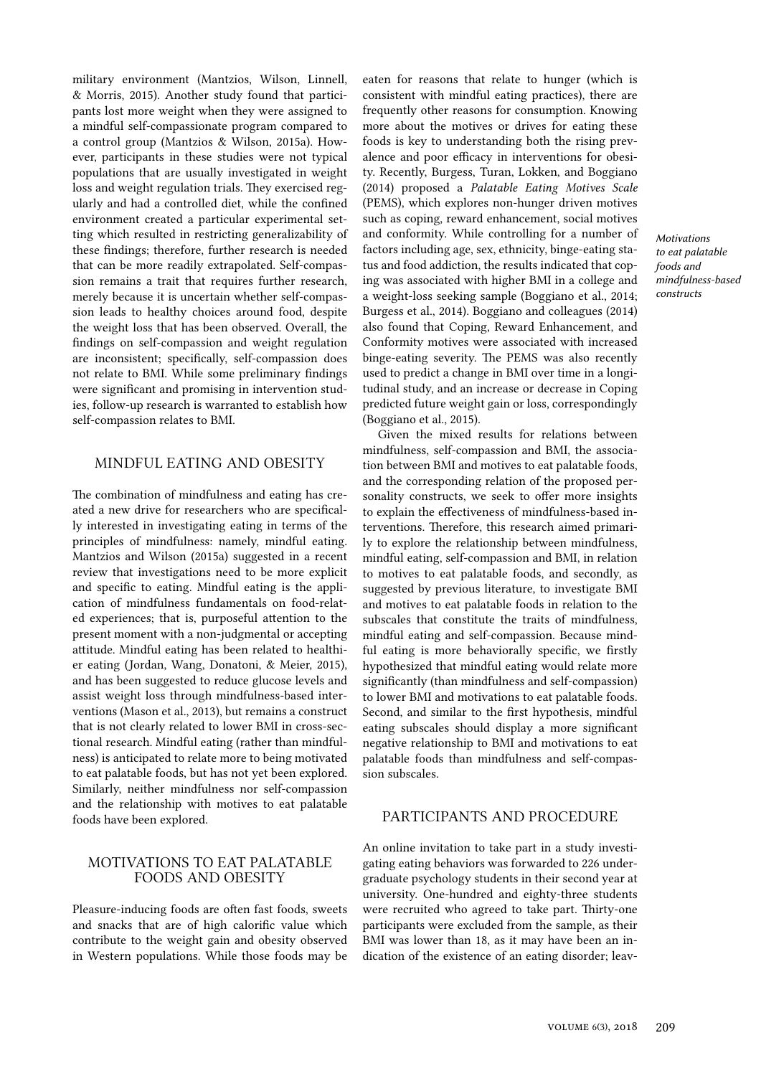military environment (Mantzios, Wilson, Linnell, & Morris, 2015). Another study found that participants lost more weight when they were assigned to a mindful self-compassionate program compared to a control group (Mantzios & Wilson, 2015a). However, participants in these studies were not typical populations that are usually investigated in weight loss and weight regulation trials. They exercised regularly and had a controlled diet, while the confined environment created a particular experimental setting which resulted in restricting generalizability of these findings; therefore, further research is needed that can be more readily extrapolated. Self-compassion remains a trait that requires further research, merely because it is uncertain whether self-compassion leads to healthy choices around food, despite the weight loss that has been observed. Overall, the findings on self-compassion and weight regulation are inconsistent; specifically, self-compassion does not relate to BMI. While some preliminary findings were significant and promising in intervention studies, follow-up research is warranted to establish how self-compassion relates to BMI.

# *Mindful eating and obesity*

The combination of mindfulness and eating has created a new drive for researchers who are specifically interested in investigating eating in terms of the principles of mindfulness: namely, mindful eating. Mantzios and Wilson (2015a) suggested in a recent review that investigations need to be more explicit and specific to eating. Mindful eating is the application of mindfulness fundamentals on food-related experiences; that is, purposeful attention to the present moment with a non-judgmental or accepting attitude. Mindful eating has been related to healthier eating (Jordan, Wang, Donatoni, & Meier, 2015), and has been suggested to reduce glucose levels and assist weight loss through mindfulness-based interventions (Mason et al., 2013), but remains a construct that is not clearly related to lower BMI in cross-sectional research. Mindful eating (rather than mindfulness) is anticipated to relate more to being motivated to eat palatable foods, but has not yet been explored. Similarly, neither mindfulness nor self-compassion and the relationship with motives to eat palatable foods have been explored.

# *Motivations to eat palatable foods and obesity*

Pleasure-inducing foods are often fast foods, sweets and snacks that are of high calorific value which contribute to the weight gain and obesity observed in Western populations. While those foods may be

eaten for reasons that relate to hunger (which is consistent with mindful eating practices), there are frequently other reasons for consumption. Knowing more about the motives or drives for eating these foods is key to understanding both the rising prevalence and poor efficacy in interventions for obesity. Recently, Burgess, Turan, Lokken, and Boggiano (2014) proposed a *Palatable Eating Motives Scale* (PEMS), which explores non-hunger driven motives such as coping, reward enhancement, social motives and conformity. While controlling for a number of factors including age, sex, ethnicity, binge-eating status and food addiction, the results indicated that coping was associated with higher BMI in a college and a weight-loss seeking sample (Boggiano et al., 2014; Burgess et al., 2014). Boggiano and colleagues (2014) also found that Coping, Reward Enhancement, and Conformity motives were associated with increased binge-eating severity. The PEMS was also recently used to predict a change in BMI over time in a longitudinal study, and an increase or decrease in Coping predicted future weight gain or loss, correspondingly (Boggiano et al., 2015).

Given the mixed results for relations between mindfulness, self-compassion and BMI, the association between BMI and motives to eat palatable foods, and the corresponding relation of the proposed personality constructs, we seek to offer more insights to explain the effectiveness of mindfulness-based interventions. Therefore, this research aimed primarily to explore the relationship between mindfulness, mindful eating, self-compassion and BMI, in relation to motives to eat palatable foods, and secondly, as suggested by previous literature, to investigate BMI and motives to eat palatable foods in relation to the subscales that constitute the traits of mindfulness, mindful eating and self-compassion. Because mindful eating is more behaviorally specific, we firstly hypothesized that mindful eating would relate more significantly (than mindfulness and self-compassion) to lower BMI and motivations to eat palatable foods. Second, and similar to the first hypothesis, mindful eating subscales should display a more significant negative relationship to BMI and motivations to eat palatable foods than mindfulness and self-compassion subscales.

# *Participants and procedure*

An online invitation to take part in a study investigating eating behaviors was forwarded to 226 undergraduate psychology students in their second year at university. One-hundred and eighty-three students were recruited who agreed to take part. Thirty-one participants were excluded from the sample, as their BMI was lower than 18, as it may have been an indication of the existence of an eating disorder; leav-

*Motivations to eat palatable foods and mindfulness-based constructs*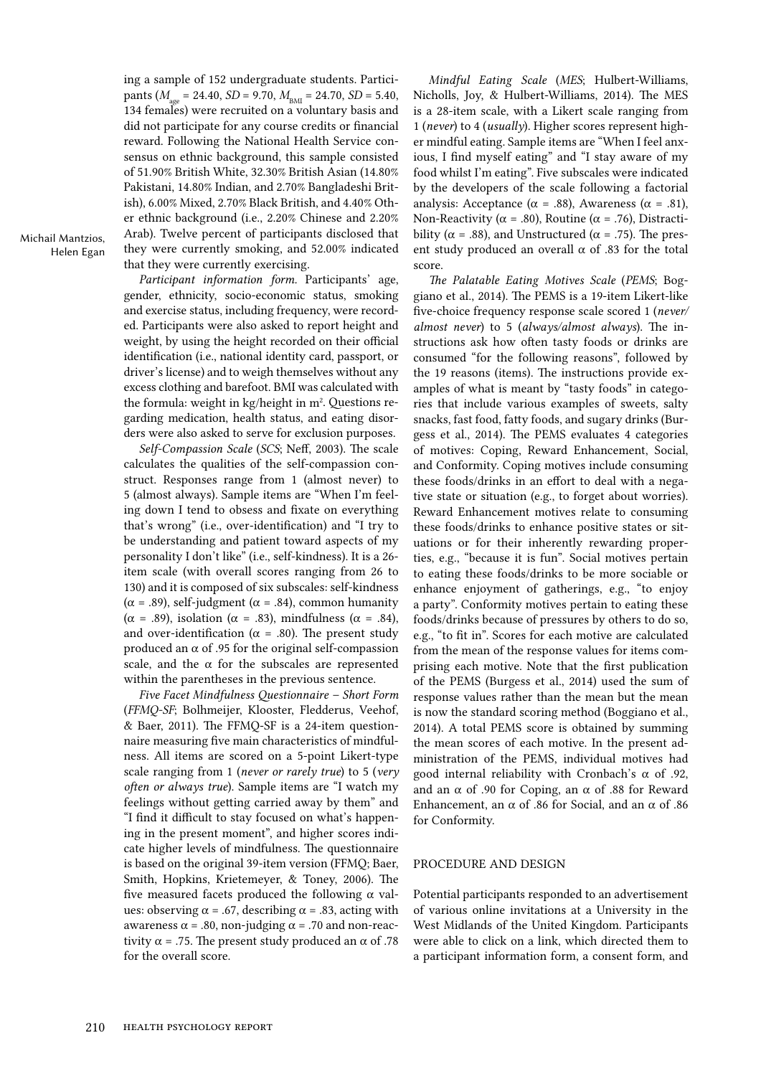ing a sample of 152 undergraduate students. Participants ( $M_{\text{age}} = 24.40$ ,  $SD = 9.70$ ,  $M_{\text{BMI}} = 24.70$ ,  $SD = 5.40$ , 134 females) were recruited on a voluntary basis and did not participate for any course credits or financial reward. Following the National Health Service consensus on ethnic background, this sample consisted of 51.90% British White, 32.30% British Asian (14.80% Pakistani, 14.80% Indian, and 2.70% Bangladeshi British), 6.00% Mixed, 2.70% Black British, and 4.40% Other ethnic background (i.e., 2.20% Chinese and 2.20% Arab). Twelve percent of participants disclosed that they were currently smoking, and 52.00% indicated that they were currently exercising.

*Participant information form.* Participants' age, gender, ethnicity, socio-economic status, smoking and exercise status, including frequency, were recorded. Participants were also asked to report height and weight, by using the height recorded on their official identification (i.e., national identity card, passport, or driver's license) and to weigh themselves without any excess clothing and barefoot. BMI was calculated with the formula: weight in kg/height in m<sup>2</sup>. Questions regarding medication, health status, and eating disorders were also asked to serve for exclusion purposes.

*Self-Compassion Scale* (*SCS*; Neff, 2003). The scale calculates the qualities of the self-compassion construct. Responses range from 1 (almost never) to 5 (almost always). Sample items are "When I'm feeling down I tend to obsess and fixate on everything that's wrong" (i.e., over-identification) and "I try to be understanding and patient toward aspects of my personality I don't like" (i.e., self-kindness). It is a 26 item scale (with overall scores ranging from 26 to 130) and it is composed of six subscales: self-kindness ( $\alpha$  = .89), self-judgment ( $\alpha$  = .84), common humanity ( $\alpha$  = .89), isolation ( $\alpha$  = .83), mindfulness ( $\alpha$  = .84), and over-identification ( $\alpha$  = .80). The present study produced an  $\alpha$  of .95 for the original self-compassion scale, and the  $\alpha$  for the subscales are represented within the parentheses in the previous sentence.

*Five Facet Mindfulness Questionnaire – Short Form* (*FFMQ-SF*; Bolhmeijer, Klooster, Fledderus, Veehof, & Baer, 2011). The FFMQ-SF is a 24-item questionnaire measuring five main characteristics of mindfulness. All items are scored on a 5-point Likert-type scale ranging from 1 (*never or rarely true*) to 5 (*very often or always true*). Sample items are "I watch my feelings without getting carried away by them" and "I find it difficult to stay focused on what's happening in the present moment", and higher scores indicate higher levels of mindfulness. The questionnaire is based on the original 39-item version (FFMQ; Baer, Smith, Hopkins, Krietemeyer, & Toney, 2006). The five measured facets produced the following  $\alpha$  values: observing  $\alpha$  = .67, describing  $\alpha$  = .83, acting with awareness  $\alpha$  = .80, non-judging  $\alpha$  = .70 and non-reactivity  $\alpha$  = .75. The present study produced an  $\alpha$  of .78 for the overall score.

*Mindful Eating Scale* (*MES*; Hulbert-Williams, Nicholls, Joy, & Hulbert-Williams, 2014). The MES is a 28-item scale, with a Likert scale ranging from 1 (*never*) to 4 (*usually*). Higher scores represent higher mindful eating. Sample items are "When I feel anxious, I find myself eating" and "I stay aware of my food whilst I'm eating". Five subscales were indicated by the developers of the scale following a factorial analysis: Acceptance ( $\alpha$  = .88), Awareness ( $\alpha$  = .81), Non-Reactivity (α = .80), Routine (α = .76), Distractibility ( $\alpha$  = .88), and Unstructured ( $\alpha$  = .75). The present study produced an overall  $\alpha$  of .83 for the total score.

*The Palatable Eating Motives Scale* (*PEMS*; Boggiano et al., 2014). The PEMS is a 19-item Likert-like five-choice frequency response scale scored 1 (*never/ almost never*) to 5 (*always/almost always*). The instructions ask how often tasty foods or drinks are consumed "for the following reasons", followed by the 19 reasons (items). The instructions provide examples of what is meant by "tasty foods" in categories that include various examples of sweets, salty snacks, fast food, fatty foods, and sugary drinks (Burgess et al., 2014). The PEMS evaluates 4 categories of motives: Coping, Reward Enhancement, Social, and Conformity. Coping motives include consuming these foods/drinks in an effort to deal with a negative state or situation (e.g., to forget about worries). Reward Enhancement motives relate to consuming these foods/drinks to enhance positive states or situations or for their inherently rewarding properties, e.g., "because it is fun". Social motives pertain to eating these foods/drinks to be more sociable or enhance enjoyment of gatherings, e.g., "to enjoy a party". Conformity motives pertain to eating these foods/drinks because of pressures by others to do so, e.g., "to fit in". Scores for each motive are calculated from the mean of the response values for items comprising each motive. Note that the first publication of the PEMS (Burgess et al., 2014) used the sum of response values rather than the mean but the mean is now the standard scoring method (Boggiano et al., 2014). A total PEMS score is obtained by summing the mean scores of each motive. In the present administration of the PEMS, individual motives had good internal reliability with Cronbach's α of .92, and an  $\alpha$  of .90 for Coping, an  $\alpha$  of .88 for Reward Enhancement, an  $\alpha$  of .86 for Social, and an  $\alpha$  of .86 for Conformity.

### *Procedure and design*

Potential participants responded to an advertisement of various online invitations at a University in the West Midlands of the United Kingdom. Participants were able to click on a link, which directed them to a participant information form, a consent form, and

Michail Mantzios, Helen Egan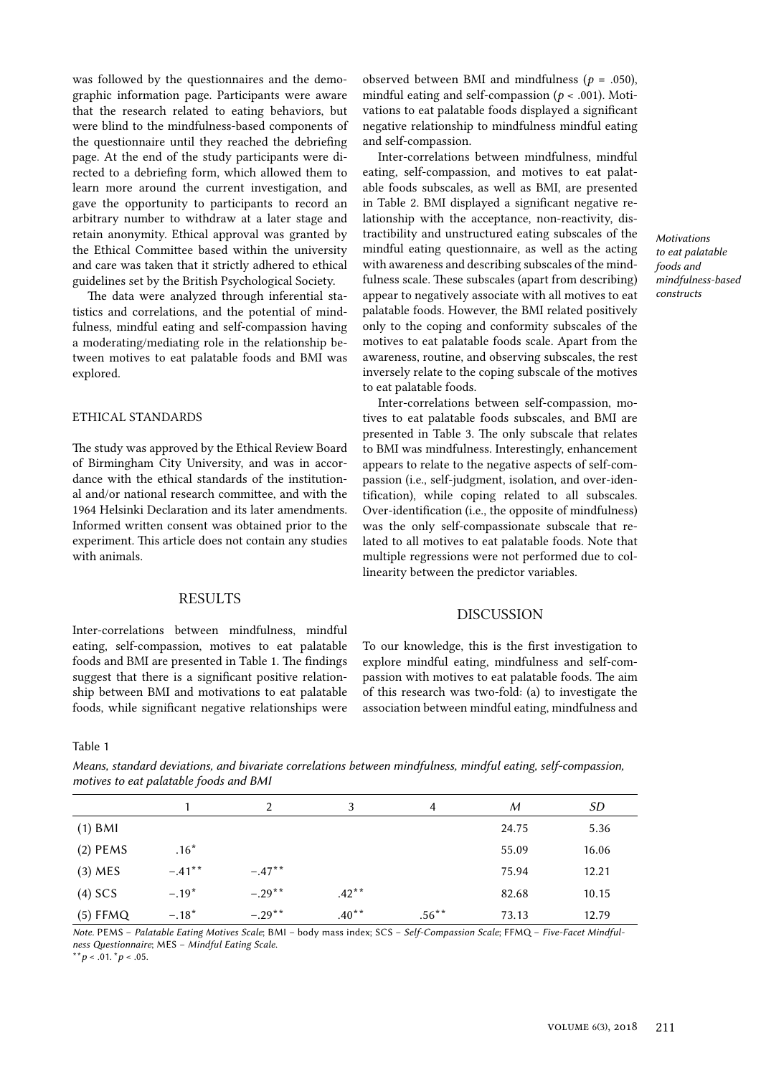was followed by the questionnaires and the demographic information page. Participants were aware that the research related to eating behaviors, but were blind to the mindfulness-based components of the questionnaire until they reached the debriefing page. At the end of the study participants were directed to a debriefing form, which allowed them to learn more around the current investigation, and gave the opportunity to participants to record an arbitrary number to withdraw at a later stage and retain anonymity. Ethical approval was granted by the Ethical Committee based within the university and care was taken that it strictly adhered to ethical guidelines set by the British Psychological Society.

The data were analyzed through inferential statistics and correlations, and the potential of mindfulness, mindful eating and self-compassion having a moderating/mediating role in the relationship between motives to eat palatable foods and BMI was explored.

## *Ethical standards*

The study was approved by the Ethical Review Board of Birmingham City University, and was in accordance with the ethical standards of the institutional and/or national research committee, and with the 1964 Helsinki Declaration and its later amendments. Informed written consent was obtained prior to the experiment. This article does not contain any studies with animals.

## *Results*

Inter-correlations between mindfulness, mindful eating, self-compassion, motives to eat palatable foods and BMI are presented in Table 1. The findings suggest that there is a significant positive relationship between BMI and motivations to eat palatable foods, while significant negative relationships were

observed between BMI and mindfulness (*p* = .050), mindful eating and self-compassion ( $p < .001$ ). Motivations to eat palatable foods displayed a significant negative relationship to mindfulness mindful eating and self-compassion.

Inter-correlations between mindfulness, mindful eating, self-compassion, and motives to eat palatable foods subscales, as well as BMI, are presented in Table 2. BMI displayed a significant negative relationship with the acceptance, non-reactivity, distractibility and unstructured eating subscales of the mindful eating questionnaire, as well as the acting with awareness and describing subscales of the mindfulness scale. These subscales (apart from describing) appear to negatively associate with all motives to eat palatable foods. However, the BMI related positively only to the coping and conformity subscales of the motives to eat palatable foods scale. Apart from the awareness, routine, and observing subscales, the rest inversely relate to the coping subscale of the motives to eat palatable foods.

Inter-correlations between self-compassion, motives to eat palatable foods subscales, and BMI are presented in Table 3. The only subscale that relates to BMI was mindfulness. Interestingly, enhancement appears to relate to the negative aspects of self-compassion (i.e., self-judgment, isolation, and over-identification), while coping related to all subscales. Over-identification (i.e., the opposite of mindfulness) was the only self-compassionate subscale that related to all motives to eat palatable foods. Note that multiple regressions were not performed due to collinearity between the predictor variables.

### *Discussion*

To our knowledge, this is the first investigation to explore mindful eating, mindfulness and self-compassion with motives to eat palatable foods. The aim of this research was two-fold: (a) to investigate the association between mindful eating, mindfulness and

Table 1

|            |           |           | 3        | 4        | M     | SD    |
|------------|-----------|-----------|----------|----------|-------|-------|
| $(1)$ BMI  |           |           |          |          | 24.75 | 5.36  |
| $(2)$ PEMS | $.16*$    |           |          |          | 55.09 | 16.06 |
| $(3)$ MES  | $-.41***$ | $-.47***$ |          |          | 75.94 | 12.21 |
| $(4)$ SCS  | $-.19*$   | $-.29**$  | $.42***$ |          | 82.68 | 10.15 |
| $(5)$ FFMQ | $-.18*$   | $-.29***$ | $.40**$  | $.56***$ | 73.13 | 12.79 |

*Means, standard deviations, and bivariate correlations between mindfulness, mindful eating, self-compassion, motives to eat palatable foods and BMI* 

*Note.* PEMS – *Palatable Eating Motives Scale*; BMI – body mass index; SCS – *Self-Compassion Scale*; FFMQ – *Five-Facet Mindfulness Questionnaire*; MES – *Mindful Eating Scale*.

 $*^*p$  < .01.  $*p$  < .05.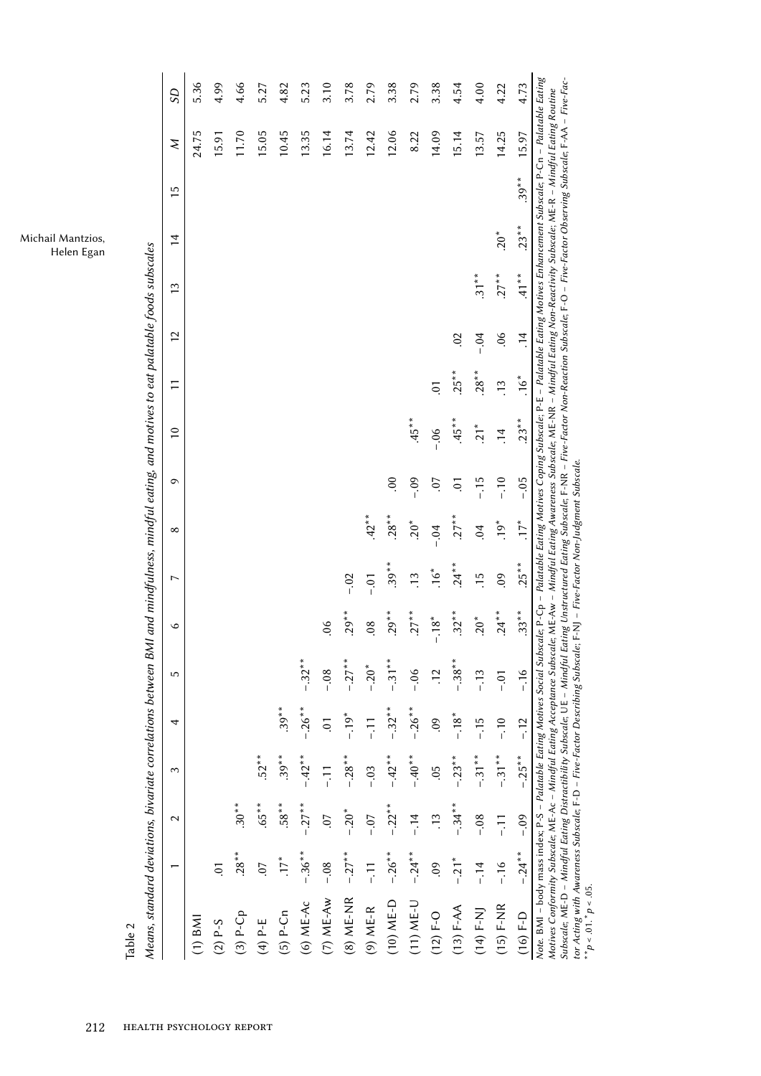|             | $\overline{\phantom{0}}$ | $\sim$           | 3              | 4              | 5              | $\circ$  | $\overline{ }$  | $\infty$ | $\sigma$       | $\overline{1}$  | $\overline{1}$ | $\overline{c}$  | 13       | $\overline{1}$ | S      | Σ     |
|-------------|--------------------------|------------------|----------------|----------------|----------------|----------|-----------------|----------|----------------|-----------------|----------------|-----------------|----------|----------------|--------|-------|
| $(1)$ BMI   |                          |                  |                |                |                |          |                 |          |                |                 |                |                 |          |                |        | 24.75 |
| $(2) P-S$   | $\overline{0}$           |                  |                |                |                |          |                 |          |                |                 |                |                 |          |                |        | 15.91 |
| $(3)$ P-Cp  | $.28***$                 | $.30**$          |                |                |                |          |                 |          |                |                 |                |                 |          |                |        | 11.70 |
| $(-1 - 4)$  | 07                       | $.65**$          | $.52**$        |                |                |          |                 |          |                |                 |                |                 |          |                |        | 15.05 |
| $(5)$ P-Cn  | $.17*$                   | $.58***$         | $.39**$        | $.39***$       |                |          |                 |          |                |                 |                |                 |          |                |        | 10.45 |
| $(6)$ ME-Ac | $-.36**$                 | $-.27**$         | $-42**$        | $-.26**$       | $-.32**$       |          |                 |          |                |                 |                |                 |          |                |        | 13.35 |
| $(7)$ ME-Aw | $-0.8$                   | $\overline{0}$ . | F <sub>1</sub> | $\overline{0}$ | $-0.8$         | 06       |                 |          |                |                 |                |                 |          |                |        | 16.14 |
| $(8)$ ME-NR | $-.27**$                 | $-.20*$          | $-.28**$       | $-19*$         | $-.27**$       | $.29***$ | $-.02$          |          |                |                 |                |                 |          |                |        | 13.74 |
| $(9)$ ME-R  | F                        | $-0.7$           | $-0.3$         | $\frac{1}{1}$  | $-.20*$        | .08      | $-0.1$          | $.42**$  |                |                 |                |                 |          |                |        | 12.42 |
| $(10)$ ME-D | $-.26**$                 | $-22^{**}$       | $-.42**$       | $-.32**$       | $-.31**$       | $.29**$  | $.39***$        | $28**$   | 00             |                 |                |                 |          |                |        | 12.06 |
| $(11)$ ME-U | $-.24**$                 | $-14$            | $-.40**$       | $-.26**$       | $-0.06$        | $.27**$  | $\overline{13}$ | $20*$    | $-0.9$         | $.45**$         |                |                 |          |                |        | 8.22  |
| $(12) F-O$  | .09                      | $\cdot$ 13       | 0 <sub>5</sub> | .09            | $\frac{12}{1}$ | $-18*$   | $.16*$          | $-0.4$   | 07             | $-0.06$         | $\overline{0}$ |                 |          |                |        | 14.09 |
| $(13) F-AA$ | $-21$ <sup>*</sup>       | $-.34**$         | $-.23**$       | $-18*$         | $-.38**$       | $.32**$  | $.24***$        | $27**$   | $\ddot{\circ}$ | $45**$          | $25**$         | 02              |          |                |        | 15.14 |
| $(14) F-N$  | $-14$                    | $-0.8$           | $-.31**$       | $-15$          | $-13$          | $20*$    | $\cdot$ 15      | 04       | $-15$          | $21*$           | $.28**$        | $-0.4$          | $.31**$  |                |        | 13.57 |
| $(15)$ F-NR | $-16$                    | $\overline{a}$   | $-.31***$      | $-10$          | $-0.1$         | $.24***$ | .09             | $.19*$   | $-10$          | $\overline{14}$ | $\cdot$ 13     | 06              | $.27**$  | $20*$          |        | 14.25 |
| $(16) F-D$  | $-.24**$                 | $-0.09$          | $-.25**$       | $-12$          | $-16$          | $.33***$ | $.25***$        | $.17*$   | $-0.05$        | $.23**$         | $.16*$         | $\overline{14}$ | $.41***$ | $.23**$        | $39**$ | 15.97 |

Michail Mantzios, Helen Egan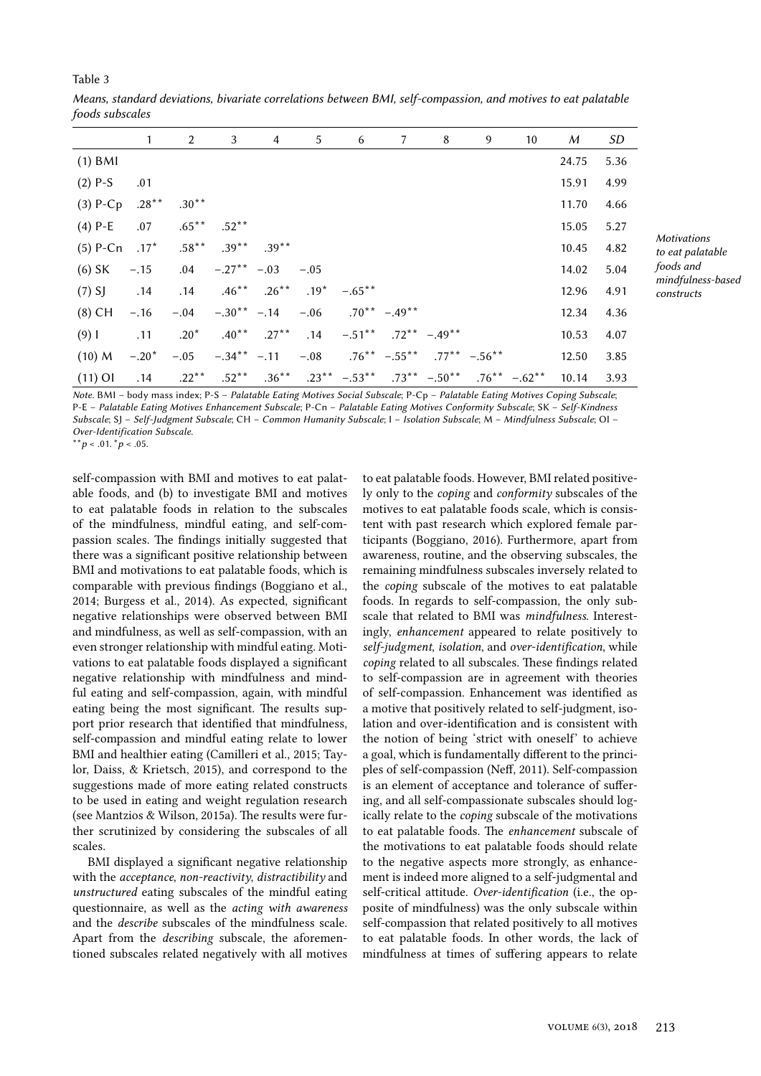Table 3

|                                                                                                | $\mathbf{1}$ | 2                                                                      | $3^{\circ}$                                       | 4 | $5^{\circ}$ | - 6 | 7 | 8 | 9 | 10 | M     | SD   |
|------------------------------------------------------------------------------------------------|--------------|------------------------------------------------------------------------|---------------------------------------------------|---|-------------|-----|---|---|---|----|-------|------|
| $(1)$ BMI                                                                                      |              |                                                                        |                                                   |   |             |     |   |   |   |    | 24.75 | 5.36 |
| $(2)$ P-S .01                                                                                  |              |                                                                        |                                                   |   |             |     |   |   |   |    | 15.91 | 4.99 |
| $(3)$ P-Cp .28 <sup>**</sup>                                                                   |              | $.30***$                                                               |                                                   |   |             |     |   |   |   |    | 11.70 | 4.66 |
| $(4)$ P-E .07                                                                                  |              | $.65***$                                                               | $.52***$                                          |   |             |     |   |   |   |    | 15.05 | 5.27 |
| $(5)$ P-Cn $.17^*$                                                                             |              |                                                                        | $.58^{**}$ $.39^{**}$ $.39^{**}$                  |   |             |     |   |   |   |    | 10.45 | 4.82 |
| $(6)$ SK $-.15$                                                                                |              |                                                                        | $.04$ $-.27***$ $-.03$ $-.05$                     |   |             |     |   |   |   |    | 14.02 | 5.04 |
| $(7)$ SJ .14                                                                                   |              |                                                                        | $.14$ $.46^{**}$ $.26^{**}$ $.19^{*}$ $-.65^{**}$ |   |             |     |   |   |   |    | 12.96 | 4.91 |
| $(8)$ CH                                                                                       | $-.16$       | $-.04$ $-.30^{**}$ $-.14$ $-.06$ $.70^{**}$ $-.49^{**}$                |                                                   |   |             |     |   |   |   |    | 12.34 | 4.36 |
| (9)1                                                                                           | .11          | $.20^*$ $.40^{**}$ $.27^{**}$ $.14$ $-.51^{**}$ $.72^{**}$ $-.49^{**}$ |                                                   |   |             |     |   |   |   |    | 10.53 | 4.07 |
| (10) M $-.20^*$ $-.05$ $-.34^{**}$ $-.11$ $-.08$ $.76^{**}$ $-.55^{**}$ $.77^{**}$ $-.56^{**}$ |              |                                                                        |                                                   |   |             |     |   |   |   |    | 12.50 | 3.85 |
| (11) Ol .14 .22** .52** .36** .23** -.53** .73** -.50** .76** -.62**                           |              |                                                                        |                                                   |   |             |     |   |   |   |    | 10.14 | 3.93 |

*Means, standard deviations, bivariate correlations between BMI, self-compassion, and motives to eat palatable foods subscales* 

*Motivations to eat palatable foods and mindfulness-based constructs*

*Note.* BMI – body mass index; P-S – *Palatable Eating Motives Social Subscale*; P-Cp – *Palatable Eating Motives Coping Subscale*; P-E – *Palatable Eating Motives Enhancement Subscale*; P-Cn – *Palatable Eating Motives Conformity Subscale*; SK – *Self-Kindness Subscale*; SJ – *Self-Judgment Subscale*; CH – *Common Humanity Subscale*; I – *Isolation Subscale*; M – *Mindfulness Subscale*; OI – *Over-Identification Subscale*.

 $*^*p$  < .01.  $*p$  < .05.

self-compassion with BMI and motives to eat palatable foods, and (b) to investigate BMI and motives to eat palatable foods in relation to the subscales of the mindfulness, mindful eating, and self-compassion scales. The findings initially suggested that there was a significant positive relationship between BMI and motivations to eat palatable foods, which is comparable with previous findings (Boggiano et al., 2014; Burgess et al., 2014). As expected, significant negative relationships were observed between BMI and mindfulness, as well as self-compassion, with an even stronger relationship with mindful eating. Motivations to eat palatable foods displayed a significant negative relationship with mindfulness and mindful eating and self-compassion, again, with mindful eating being the most significant. The results support prior research that identified that mindfulness, self-compassion and mindful eating relate to lower BMI and healthier eating (Camilleri et al., 2015; Taylor, Daiss, & Krietsch, 2015), and correspond to the suggestions made of more eating related constructs to be used in eating and weight regulation research (see Mantzios & Wilson, 2015a). The results were further scrutinized by considering the subscales of all scales.

BMI displayed a significant negative relationship with the *acceptance*, *non-reactivity*, *distractibility* and *unstructured* eating subscales of the mindful eating questionnaire, as well as the *acting with awareness* and the *describe* subscales of the mindfulness scale. Apart from the *describing* subscale, the aforementioned subscales related negatively with all motives

to eat palatable foods. However, BMI related positively only to the *coping* and *conformity* subscales of the motives to eat palatable foods scale, which is consistent with past research which explored female participants (Boggiano, 2016). Furthermore, apart from awareness, routine, and the observing subscales, the remaining mindfulness subscales inversely related to the *coping* subscale of the motives to eat palatable foods. In regards to self-compassion, the only subscale that related to BMI was *mindfulness*. Interestingly, *enhancement* appeared to relate positively to *self-judgment*, *isolation*, and *over-identification*, while *coping* related to all subscales. These findings related to self-compassion are in agreement with theories of self-compassion. Enhancement was identified as a motive that positively related to self-judgment, isolation and over-identification and is consistent with the notion of being 'strict with oneself' to achieve a goal, which is fundamentally different to the principles of self-compassion (Neff, 2011). Self-compassion is an element of acceptance and tolerance of suffering, and all self-compassionate subscales should logically relate to the *coping* subscale of the motivations to eat palatable foods. The *enhancement* subscale of the motivations to eat palatable foods should relate to the negative aspects more strongly, as enhancement is indeed more aligned to a self-judgmental and self-critical attitude. *Over-identification* (i.e., the opposite of mindfulness) was the only subscale within self-compassion that related positively to all motives to eat palatable foods. In other words, the lack of mindfulness at times of suffering appears to relate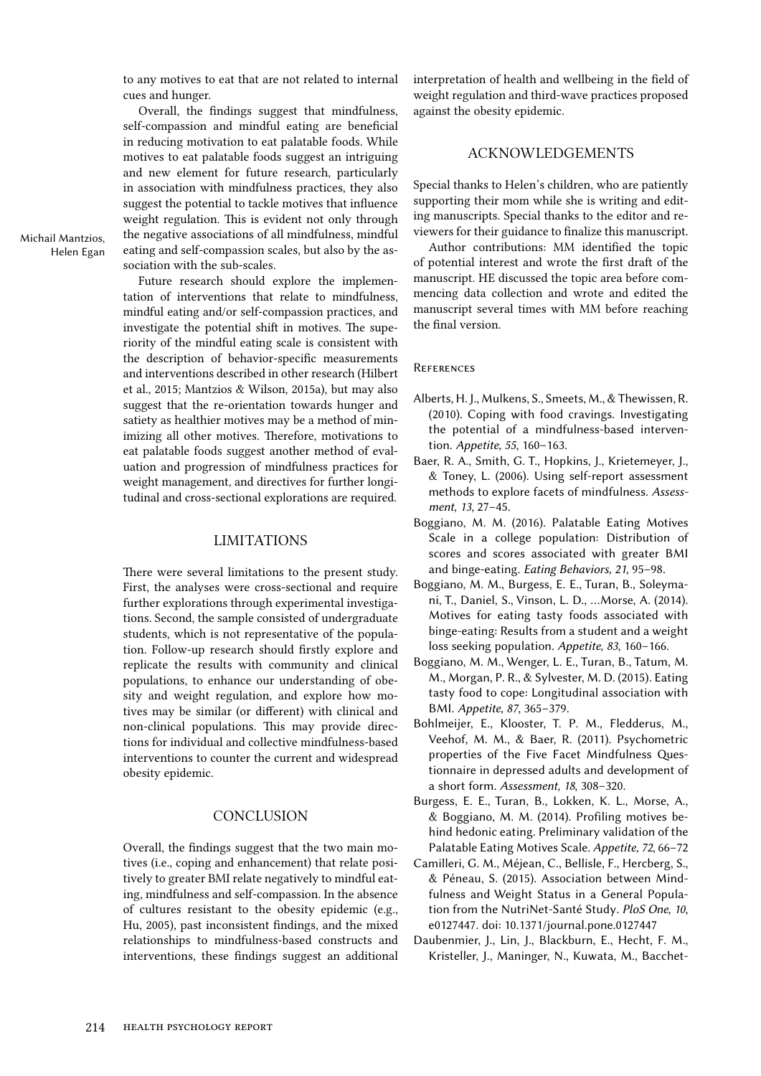to any motives to eat that are not related to internal cues and hunger.

Overall, the findings suggest that mindfulness, self-compassion and mindful eating are beneficial in reducing motivation to eat palatable foods. While motives to eat palatable foods suggest an intriguing and new element for future research, particularly in association with mindfulness practices, they also suggest the potential to tackle motives that influence weight regulation. This is evident not only through the negative associations of all mindfulness, mindful eating and self-compassion scales, but also by the association with the sub-scales.

Michail Mantzios, Helen Egan

> Future research should explore the implementation of interventions that relate to mindfulness, mindful eating and/or self-compassion practices, and investigate the potential shift in motives. The superiority of the mindful eating scale is consistent with the description of behavior-specific measurements and interventions described in other research (Hilbert et al., 2015; Mantzios & Wilson, 2015a), but may also suggest that the re-orientation towards hunger and satiety as healthier motives may be a method of minimizing all other motives. Therefore, motivations to eat palatable foods suggest another method of evaluation and progression of mindfulness practices for weight management, and directives for further longitudinal and cross-sectional explorations are required.

# *Limitations*

There were several limitations to the present study. First, the analyses were cross-sectional and require further explorations through experimental investigations. Second, the sample consisted of undergraduate students, which is not representative of the population. Follow-up research should firstly explore and replicate the results with community and clinical populations, to enhance our understanding of obesity and weight regulation, and explore how motives may be similar (or different) with clinical and non-clinical populations. This may provide directions for individual and collective mindfulness-based interventions to counter the current and widespread obesity epidemic.

# *Conclusion*

Overall, the findings suggest that the two main motives (i.e., coping and enhancement) that relate positively to greater BMI relate negatively to mindful eating, mindfulness and self-compassion. In the absence of cultures resistant to the obesity epidemic (e.g., Hu, 2005), past inconsistent findings, and the mixed relationships to mindfulness-based constructs and interventions, these findings suggest an additional

interpretation of health and wellbeing in the field of weight regulation and third-wave practices proposed against the obesity epidemic.

# *Acknowledgements*

Special thanks to Helen's children, who are patiently supporting their mom while she is writing and editing manuscripts. Special thanks to the editor and reviewers for their guidance to finalize this manuscript.

Author contributions: MM identified the topic of potential interest and wrote the first draft of the manuscript. HE discussed the topic area before commencing data collection and wrote and edited the manuscript several times with MM before reaching the final version.

#### *References*

- Alberts, H. J., Mulkens, S., Smeets, M., & Thewissen, R. (2010). Coping with food cravings. Investigating the potential of a mindfulness-based intervention. *Appetite, 55*, 160–163.
- Baer, R. A., Smith, G. T., Hopkins, J., Krietemeyer, J., & Toney, L. (2006). Using self-report assessment methods to explore facets of mindfulness. *Assessment, 13*, 27–45.
- Boggiano, M. M. (2016). Palatable Eating Motives Scale in a college population: Distribution of scores and scores associated with greater BMI and binge-eating. *Eating Behaviors, 21*, 95–98.
- Boggiano, M. M., Burgess, E. E., Turan, B., Soleymani, T., Daniel, S., Vinson, L. D., ...Morse, A. (2014). Motives for eating tasty foods associated with binge-eating: Results from a student and a weight loss seeking population. *Appetite, 83*, 160–166.
- Boggiano, M. M., Wenger, L. E., Turan, B., Tatum, M. M., Morgan, P. R., & Sylvester, M. D. (2015). Eating tasty food to cope: Longitudinal association with BMI. *Appetite, 87*, 365–379.
- Bohlmeijer, E., Klooster, T. P. M., Fledderus, M., Veehof, M. M., & Baer, R. (2011). Psychometric properties of the Five Facet Mindfulness Questionnaire in depressed adults and development of a short form. *Assessment, 18*, 308–320.
- Burgess, E. E., Turan, B., Lokken, K. L., Morse, A., & Boggiano, M. M. (2014). Profiling motives behind hedonic eating. Preliminary validation of the Palatable Eating Motives Scale. *Appetite, 72*, 66–72
- Camilleri, G. M., Méjean, C., Bellisle, F., Hercberg, S., & Péneau, S. (2015). Association between Mindfulness and Weight Status in a General Population from the NutriNet-Santé Study*. PloS One, 10*, e0127447. doi: 10.1371/journal.pone.0127447
- Daubenmier, J., Lin, J., Blackburn, E., Hecht, F. M., Kristeller, J., Maninger, N., Kuwata, M., Bacchet-